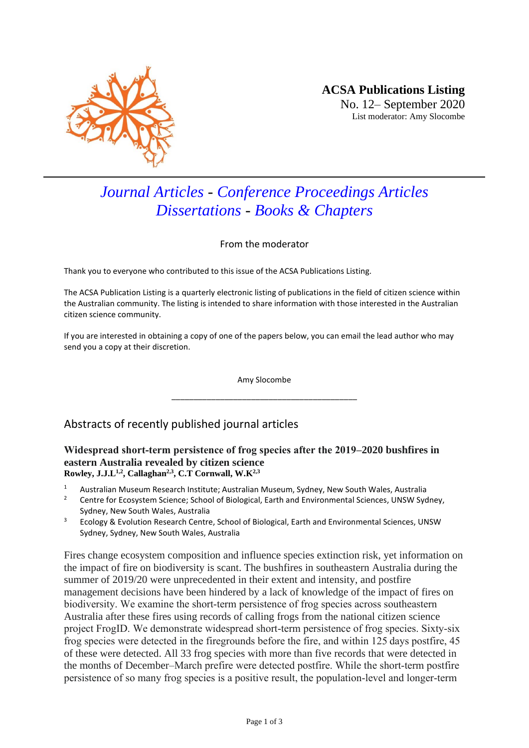

# *Journal Articles - Conference Proceedings Articles Dissertations - Books & Chapters*

From the moderator

Thank you to everyone who contributed to this issue of the ACSA Publications Listing.

The ACSA Publication Listing is a quarterly electronic listing of publications in the field of citizen science within the Australian community. The listing is intended to share information with those interested in the Australian citizen science community.

If you are interested in obtaining a copy of one of the papers below, you can email the lead author who may send you a copy at their discretion.

> Amy Slocombe \_\_\_\_\_\_\_\_\_\_\_\_\_\_\_\_\_\_\_\_\_\_\_\_\_\_\_\_\_\_\_\_\_\_\_\_\_\_\_\_\_\_

## Abstracts of recently published journal articles

#### **Widespread short‐term persistence of frog species after the 2019–2020 bushfires in eastern Australia revealed by citizen science Rowley, J.J.L1,2 , Callaghan2,3, C.T Cornwall, W.K2,3**

- <sup>1</sup> Australian Museum Research Institute; Australian Museum, Sydney, New South Wales, Australia
- <sup>2</sup> Centre for Ecosystem Science; School of Biological, Earth and Environmental Sciences, UNSW Sydney, Sydney, New South Wales, Australia
- <sup>3</sup> Ecology & Evolution Research Centre, School of Biological, Earth and Environmental Sciences, UNSW Sydney, Sydney, New South Wales, Australia

Fires change ecosystem composition and influence species extinction risk, yet information on the impact of fire on biodiversity is scant. The bushfires in southeastern Australia during the summer of 2019/20 were unprecedented in their extent and intensity, and postfire management decisions have been hindered by a lack of knowledge of the impact of fires on biodiversity. We examine the short‐term persistence of frog species across southeastern Australia after these fires using records of calling frogs from the national citizen science project FrogID. We demonstrate widespread short-term persistence of frog species. Sixty-six frog species were detected in the firegrounds before the fire, and within 125 days postfire, 45 of these were detected. All 33 frog species with more than five records that were detected in the months of December–March prefire were detected postfire. While the short‐term postfire persistence of so many frog species is a positive result, the population‐level and longer‐term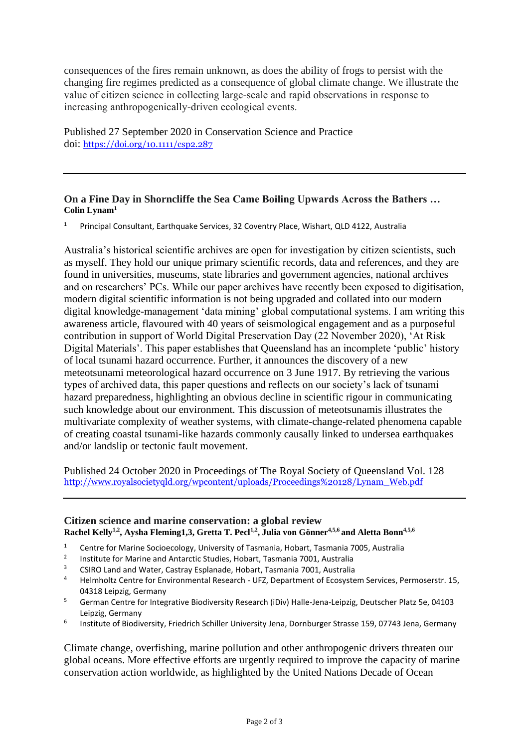consequences of the fires remain unknown, as does the ability of frogs to persist with the changing fire regimes predicted as a consequence of global climate change. We illustrate the value of citizen science in collecting large‐scale and rapid observations in response to increasing anthropogenically‐driven ecological events.

Published 27 September 2020 in Conservation Science and Practice doi: <https://doi.org/10.1111/csp2.287>

### **On a Fine Day in Shorncliffe the Sea Came Boiling Upwards Across the Bathers … Colin Lynam<sup>1</sup>**

<sup>1</sup> Principal Consultant, Earthquake Services, 32 Coventry Place, Wishart, QLD 4122, Australia

Australia's historical scientific archives are open for investigation by citizen scientists, such as myself. They hold our unique primary scientific records, data and references, and they are found in universities, museums, state libraries and government agencies, national archives and on researchers' PCs. While our paper archives have recently been exposed to digitisation, modern digital scientific information is not being upgraded and collated into our modern digital knowledge-management 'data mining' global computational systems. I am writing this awareness article, flavoured with 40 years of seismological engagement and as a purposeful contribution in support of World Digital Preservation Day (22 November 2020), 'At Risk Digital Materials'. This paper establishes that Queensland has an incomplete 'public' history of local tsunami hazard occurrence. Further, it announces the discovery of a new meteotsunami meteorological hazard occurrence on 3 June 1917. By retrieving the various types of archived data, this paper questions and reflects on our society's lack of tsunami hazard preparedness, highlighting an obvious decline in scientific rigour in communicating such knowledge about our environment. This discussion of meteotsunamis illustrates the multivariate complexity of weather systems, with climate-change-related phenomena capable of creating coastal tsunami-like hazards commonly causally linked to undersea earthquakes and/or landslip or tectonic fault movement.

Published 24 October 2020 in Proceedings of The Royal Society of Queensland Vol. 128 [http://www.royalsocietyqld.org/wpcontent/uploads/Proceedings%20128/Lynam\\_Web.pdf](http://www.royalsocietyqld.org/wpcontent/uploads/Proceedings%20128/Lynam_Web.pdf)

#### **Citizen science and marine conservation: a global review Rachel Kelly1,2 , Aysha Fleming1,3, Gretta T. Pecl1,2, Julia von Gönner4,5,6 and Aletta Bonn4,5,6**

- <sup>1</sup> Centre for Marine Socioecology, University of Tasmania, Hobart, Tasmania 7005, Australia
- 2 Institute for Marine and Antarctic Studies, Hobart, Tasmania 7001, Australia
- <sup>3</sup> CSIRO Land and Water, Castray Esplanade, Hobart, Tasmania 7001, Australia<br><sup>4</sup> Holmboltz Contro for Environmental Besearch, LIEZ, Department of Ecosyste
- <sup>4</sup> Helmholtz Centre for Environmental Research UFZ, Department of Ecosystem Services, Permoserstr. 15, 04318 Leipzig, Germany
- <sup>5</sup> German Centre for Integrative Biodiversity Research (iDiv) Halle-Jena-Leipzig, Deutscher Platz 5e, 04103 Leipzig, Germany
- 6 Institute of Biodiversity, Friedrich Schiller University Jena, Dornburger Strasse 159, 07743 Jena, Germany

Climate change, overfishing, marine pollution and other anthropogenic drivers threaten our global oceans. More effective efforts are urgently required to improve the capacity of marine conservation action worldwide, as highlighted by the United Nations Decade of Ocean